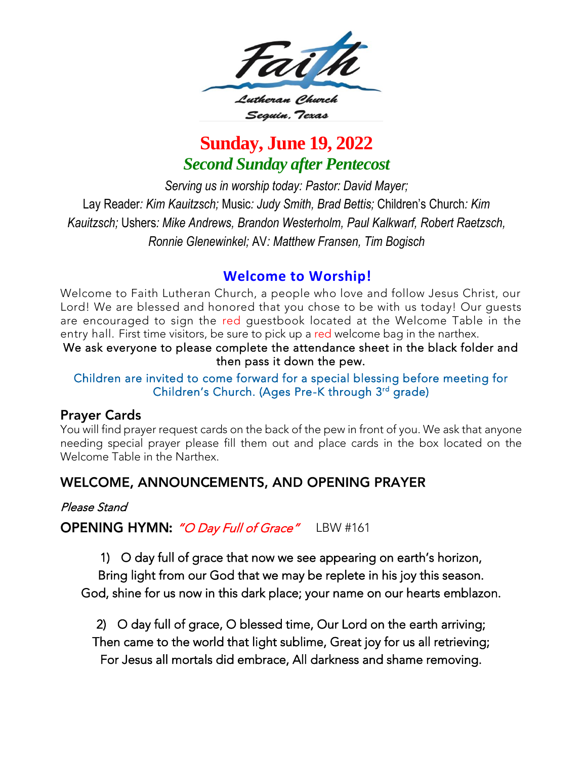

# **Sunday, June 19, 2022** *Second Sunday after Pentecost*

*Serving us in worship today: Pastor: David Mayer;* Lay Reader*: Kim Kauitzsch;* Music*: Judy Smith, Brad Bettis;* Children's Church*: Kim Kauitzsch;* Ushers*: Mike Andrews, Brandon Westerholm, Paul Kalkwarf, Robert Raetzsch, Ronnie Glenewinkel;* AV*: Matthew Fransen, Tim Bogisch*

**Welcome to Worship!**<br>Welcome to Faith Lutheran Church, a people who love and follow Jesus Christ, our Lord! We are blessed and honored that you chose to be with us today! Our quests are encouraged to sign the red questbook located at the Welcome Table in the entry hall. First time visitors, be sure to pick up a red welcome bag in the narthex.

We ask everyone to please complete the attendance sheet in the black folder and then pass it down the pew.

Children are invited to come forward for a special blessing before meeting for Children's Church (Ages Pre-K through 3rd grade) Children's Church. (Ages Pre-K through 3<sup>rd</sup> grade)

# **Prayer Cards**

You will find prayer request cards on the back of the pew in front of you. We ask that anyone<br>needing special prayer please fill them out and place cards in the box located on the Welcome Table in the Narthex. Welcome Table in the Narthex.

# **WELCOME, ANNOUNCEMENTS, AND OPENING PRAYER**

# Please Stand

**OPENING HYMN:** "O Day Full of Grace" LBW #161

1) O day full of grace that now we see appearing on earth's horizon, Bring light from our God that we may be replete in his joy this season. God, shine for us now in this dark place; your name on our hearts emblazon.

2) O day full of grace, O blessed time, Our Lord on the earth arriving; Then came to the world that light sublime, Great joy for us all retrieving; For Jesus all mortals did embrace, All darkness and shame removing. For Jesus all mortals did embrace, All darkness and shame removing.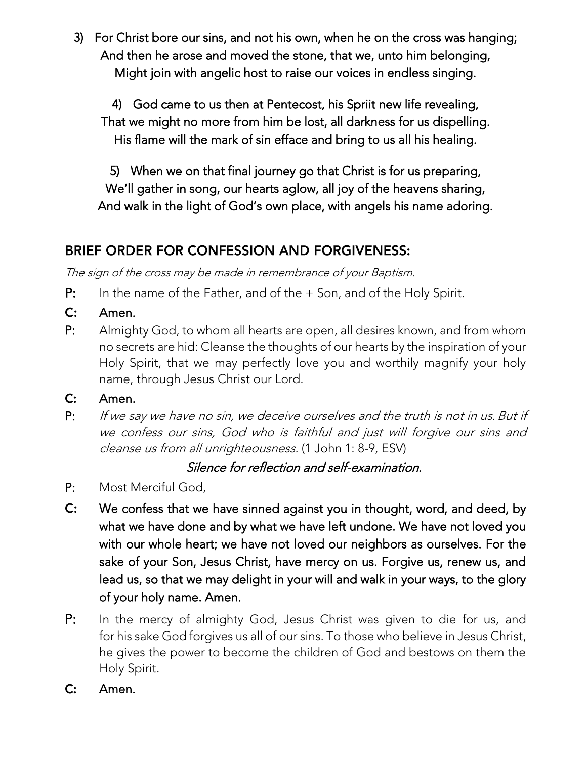3) For Christ bore our sins, and not his own, when he on the cross was hanging; And then he are around the stone and moved the stone, then he are the stone, the stone, unto him belonging, Might join with angelic host to raise our voices in endless singing.

4) God came to us then at Pentecost, his Spriit new life revealing, That we might no more from him be lost, all darkness for us dispelling. That we might no more from him be lost, all darkness for us dispelling.<br>This flame will the more of six offices and britan to us all his besling. His flame will the mark of sin efface and bring to us all his healing.

5) When we on that final journey go that Christ is for us preparing, We'll gather in song, our hearts aglow, all joy of the heavens sharing, And walk in the light of God's own place, with angels his name adoring. And walk in the light of God's own place, with angels his name adoring.

The sign of the cross may be made in remembrance of your Baptism.

- P: In the name of the Father, and of the + Son, and of the Holy Spirit.
- $C:$
- $P:$ Almighty God, to whom all hearts are open, all desires known, and from whom no secrets are hid: Cleanse the thoughts of our hearts by the inspiration of your Holy Spirit, that we may perfectly love you and worthily magnify your holy Holy Spirit, that we may perfectly love you and worthing maging your holy name, through Jesus Christ our Lord.
- $C:$
- $\frac{1}{2}$ P: If we say we have no sin, we deceive ourselves and the truth is not in us. But if<br>We confere our sins, God who is faithful and just will forgive our sins and we confess our sins, God who is faithful and just will forgive our sins and cleanse us from all unrighteousness. (1 John 1: 8-9, ESV)

# Silence for reflection and self-examination.

- $P:$ Most Merciful God.
- C: We confess that we have sinned against you in thought, word, and deed, by what we have done and by what we have left undone. We have not loved you with our whole heart; we have not loved our neighbors as ourselves. For the sake of your Son, Jesus Christ, have mercy on us. Forgive us, renew us, and lead us, so that we may delight in your will and walk in your ways, to the glory of your holy name. Amen.
- $P:$ In the mercy of almighty God, Jesus Christ was given to die for us, and for his sake God forgives us all of our sins. To those who believe in Jesus Christ, for the same of the forgives used for the God and bectome on them the he gives the power to become the children of God and bestows on them the Holy Spirit.<br>**Amen.**
- $\mathsf{C}$ : Amen.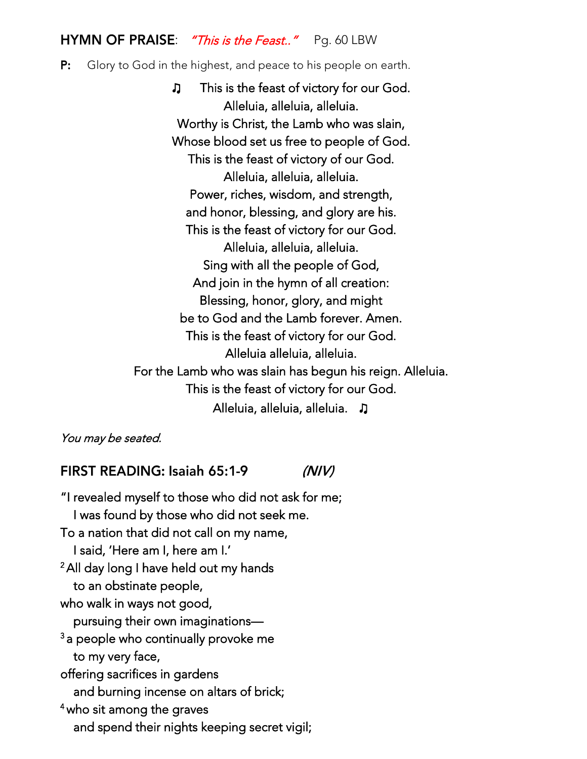## HYMN OF PRAISE: "This is the Feast.." Pq. 60 LBW

### $P:$ Glory to God in the highest, and peace to his people on earth.

♫ This is the feast of victory for our God. Worthy is Christ, the Lamb who was slain, Whose blood set us free to people of God. This is the feast of victory of our God. Alleluia, alleluia, alleluia. Power, riches, wisdom, and strength, and honor, blessing, and glory are his. This is the feast of victory for our God. Alleluia, alleluia, alleluia. Sing with all the people of God, And join in the hymn of all creation: Blessing, honor, glory, and might be to God and the Lamb forever. Amen. This is the feast of victory for our God. Alleluia alleluia, alleluia. For the Lamb who was slain has begun his reign. Alleluia. This is the feast of victory for our God. This is the feast of victory for our God. Alleluia, alleluia, alleluia. <mark>♪</mark>

You may be seated.

FIRST READING: Isaiah 65:1-9  $(NIV)$ 

"I revealed myself to those who did not ask for me; To a nation that did not call on my name, I said, 'Here am I, here am I.' I said, 'Here am I, here am I.' <sup>2</sup>All day long I have held out my hands to an obstinate people,<br>who walk in ways not good, pursuing their own imaginations pursuing their own imaginations a people who continually provoke me to my very face,<br>offering sacrifices in gardens and burning incense on altars of brick; and buring incense on altars of brick; <sup>4</sup>who sit among the graves and spend their nights keeping secret vigil;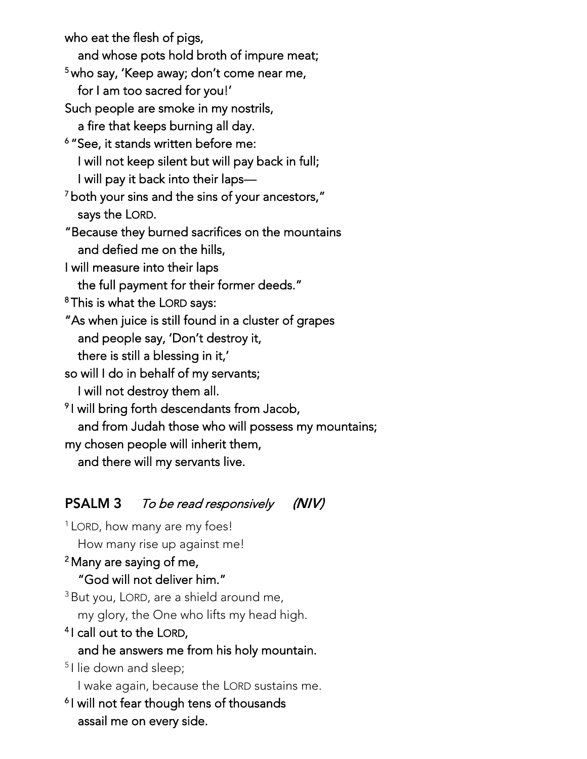who eat the flesh of pigs,<br>and whose pots hold broth of impure meat;

and whose pots hold broth of impure means, <sup>5</sup>who say, 'Keep away; don't come near me,

 for I am too sacred for you!' a fire that keeps burning all day.

 $6$  "See, it stands written before me: I will not keep silent but will pay back in full; I will pay it back into their laps—

I will pay it back into their laps— *Poth your sins and the sins of your ancestors,*"

says the LORD.<br>Because they burned sacrifices on the mountains" and defied me on the hills.

I will measure into their laps

the full payment for their former deeds."

 $8$ This is what the LORD says:

"As when juice is still found in a cluster of grapes and people say, 'Don't destroy it, there is still a blessing in it,'

so will I do in behalf of my servants; I will not destroy them all.

I will have destroy them all. 9

and from Judah those who will possess my mountains;

my chosen people will inherit them,

my chosen people will increase them, and there will my servants live.

### To be read responsively  $(NIV)$ **PSALM 3**

<sup>1</sup> LORD, how many are my foes!<br>How many rise up against me!

# $2$  Many are saying of me, "God will not deliver him."

 $3$  But you, LORD, are a shield around me, my glory, the One who lifts my head high.

- my glory, the one middle who hay head high. 4 and he answers me from his holy mountain.
- and he answers me from his holy mountain.

I wake again, because the LORD sustains me.

I wake again, because the LORD sustains me. 6 I will not fear though tens of thousands assail me on every side.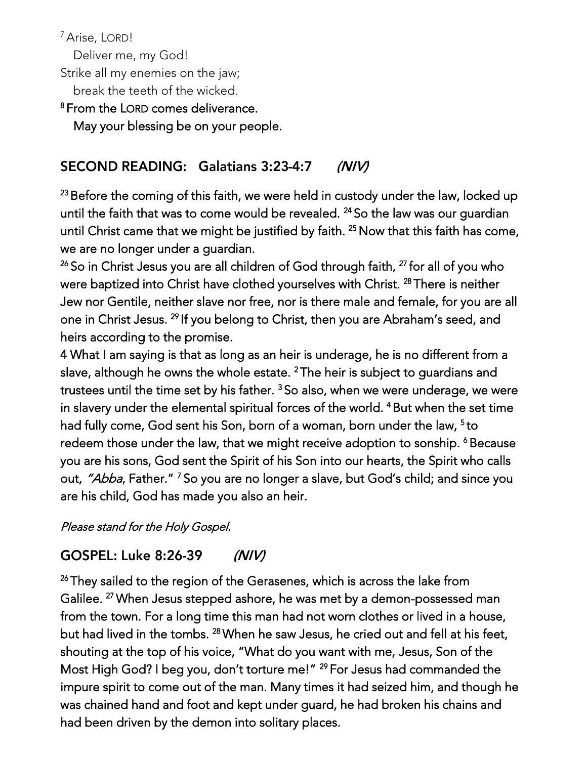$^7$ Arise, LORD!<br>Deliver me, my God! Strike all my enemies on the jaw; break the teeth of the wicked. <sup>8</sup> From the LORD comes deliverance. <sup>8</sup>From the LORD comes deliverance.

May your blessing be on your people.

## **SECOND READING: Galatians 3:23-4:7**  $(N/V)$

<sup>23</sup> Before the coming of this faith, we were held in custody under the law, locked up until the faith that was to come would be revealed. <sup>24</sup> So the law was our quardian until the faith that was to come would be revealed. Thou the law was our guardian<br>watil Christ same that was might be institued by faith. <sup>25</sup> New that this faith besteems we are no longer under a quardian. <sup>25</sup>Now that this faith has come,

we are no longer under a guardian.<br>26 Carta Chaint Leone neur eas all abilab -- So in Christ Jesus you are all children of God through faith, - for all of you who<br>were bentized into Christ beye alathed yourselves with Christ. <sup>28</sup> There is neither 27 were baptized into Christ have clothed yourselves with Christ. <sup>28</sup>There is neither<br>Jau nam Cantile, neither claus new free, new is there make and female, female are Jew nor Gentile, neither start me nor, nor is there made and female, for you are all.<br>And in Christ Jews 29 If you belong to Christ then you are Abraham/s seed, and heirs according to the promise. 29 If you belong to Christ, then you are Abraham's seed, and

4 What I am saying is that as long as an heir is underage, he is no different from a slave, although he owns the whole estate.  $2$  The heir is subject to guardians and slave, although he owns the whole estate. The heir is subject to guardians and<br>trustees until the time set bubis father 3Se also when we were undergas, we w trustees until the time set by his father. <sup>3</sup>So also, when we were underage, we were in statery and the elemental spiritual forces of the memor.<br>In al fully come, Cod contribution home of a women, home w  $\frac{4}{3}$  but when the set time. had fully come, God sent his Son, born of a woman, born under the law, The 5 you are his sons, God sent the Spirit of his Son into our hearts, the Spirit who calls \* because<br>ble cells you are his sons, God sent the Spirit of his Son into our hearts, the Spirit me calls. out, *"Abba*, Father." <sup>7</sup> So you are no longer a slave, but God's child; and since you<br>are his abild. Cad has made you also an hair are his child, God has made you also an heir.

# Please stand for the Holy Gospel.

### **GOSPEL: Luke 8:26-39**  $(N/V)$

<sup>26</sup> They sailed to the region of the Gerasenes, which is across the lake from from the town. For a long time this man had not worn clothes or lived in a house, Galilee. <sup>27</sup> When Jesus stepped ashore, he was met by a demon-possessed man but had lived in the tombs. <sup>28</sup> When he saw Jesus, he cried out and fell at his feet, but had lived in the tombs. <sup>28</sup> when he saw Jesus, he cried out and fell at his feet,<br>shouting at the ten of his voice. "What de very wort with me, Jesus, Can of the Most High God? I beg you, don't torture me!" <sup>29</sup> For Jesus had commanded the Most High God? I beg you, don't torture me! The Jesus had commanded the was chained hand and foot and kept under guard, he had broken his chains and had been driven by the demon into solitary places. had been driven by the demon into solitary places.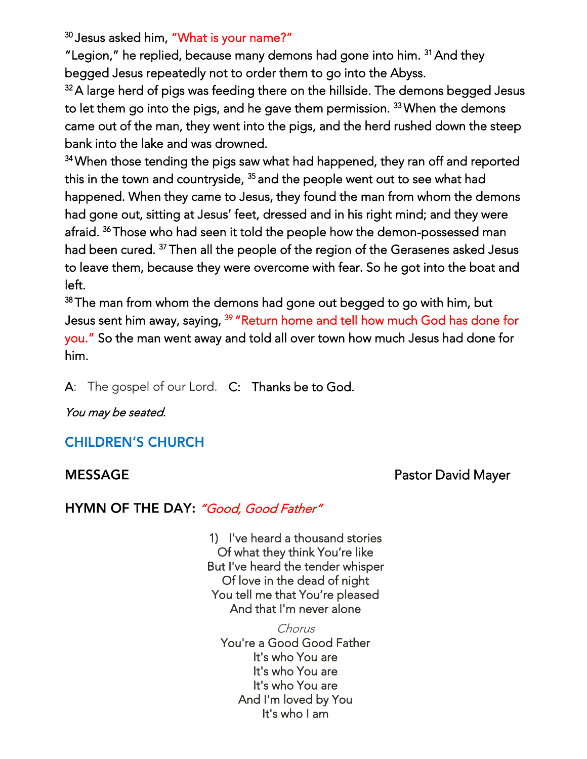303 Jesus asked him, "What is your name?"<br>"Legisc" he contied he equations along begged Jesus repeatedly not to order them to go into the Abyss. <sup>2</sup> And they

begged Jesus repeatedly not to order them to go into the Abyss. -- A large herd of pigs was feeding there on the hillside. The demons begged Jesus<br>to lat them as into the nine and he was them memission. <sup>33</sup>Mb and he demons to let them go into the pigs, and he gave them permission. <sup>23</sup> when the demons<br>same autof the man the word into the nine and the hand maked down the stabank into the lake and was drowned.

<sup>34</sup> When those tending the pigs saw what had happened, they ran off and reported this in the town and countryside,  $35$  and the people went out to see what had this in the town and countryside, " and the people went out to see what had had gone out, sitting at Jesus' feet, dressed and in his right mind; and they were afraid. <sup>36</sup> Those who had seen it told the people how the demon-possessed man afraid. "Those who had seen it told the people how the demon-possessed man<br>had haar awad 3<sup>7</sup>Than all the naanla af the razion af the Careanae asked Jam had been cured.<br>As la sua dhama la s <sup>37</sup>Then all the people of the region of the Gerasenes asked Jesus to leave them, because they were overcome with fear. So he got into the boat and

left. <sup>38</sup>The man from whom the demons had gone out begged to go with him, but the set of the set of the set of the set of the set of the set of the set of the set of the set of the set of the set of the set of the set of the se you." So the man went away and told all over town how much Jesus had done for Jesus sent him away, saying, <sup>39</sup> "Return home and tell how much God has done for you." So the man went away and told all over town how much Jesus had done for

A: The gospel of our Lord. C: Thanks be to God.

You may be seated.

# **CHILDREN'S CHURCH**

**MESSAGE** 

Pastor David Mayer

# HYMN OF THE DAY: "Good, Good Father"

1) I've heard a thousand stories<br>Of what they think You're like But I've heard the tender whisper<br>Of love in the dead of night Of love in the dead of night<br>You tell me that You're pleased And that I'm never alone

Chorus You're a Good Good Father It's who You are It's who You are It's who You are And I'm loved by You It's who I am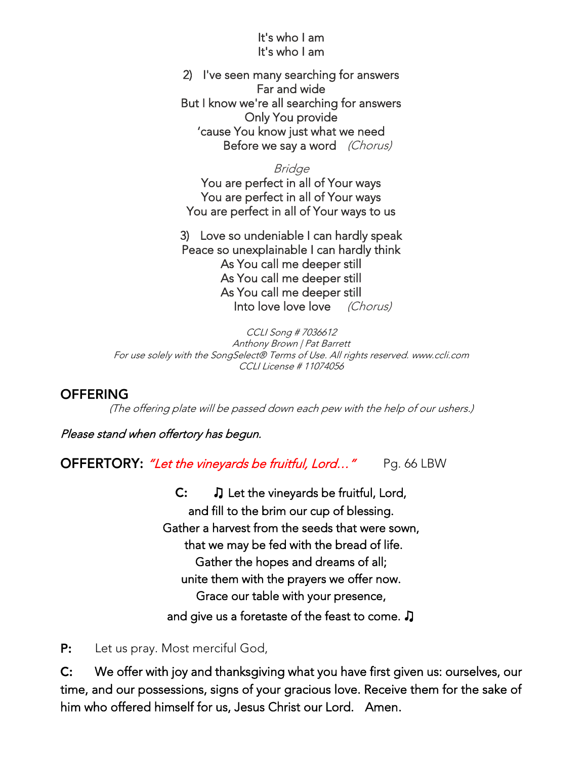## It's who I am It's who I am

2) I've seen many searching for answers<br>Ear and wide But I know we're all searching for answers Only You provide<br>cause You know just what we need Before we say a word (Chorus)

Bridge

You are perfect in all of Your ways You are perfect in all of Your ways You are perfect in all of Your ways to us

3) Love so undeniable I can hardly speak Peace so unexplainable I can hardly think As You call me deeper still As You call me deeper still As You call me deeper still Into love love love (Chorus)

CCLI Song # 7036612 Anthony Brown | Pat Barrett For use solely with the SongSelect® [Terms of Use.](https://songselect.ccli.com/about/termsofuse) All rights reserved. [www.ccli.com](http://www.ccli.com/) CCLI License # 11074056

# **OFFERING**

(The offering plate will be passed down each pew with the help of our ushers.)

# Please stand when offertory has begun.

**OFFERTORY:** "Let the vineyards be fruitful, Lord..." Pg. 66 LBW

C:  $\Box$  Let the vineyards be fruitful, Lord,<br>and fill to the brim our cup of blessing. Gather a harvest from the seeds that were sown, that we may be fed with the bread of life. Gather the hopes and dreams of all; unite them with the prayers we offer now. Grace our table with your presence, Grace our table with your presence, and give us a foretaste of the feast to come.  $\textcolor{orange}\mathsf{J}$ 

 $P:$ Let us pray. Most merciful God,

 $C:$ C: We offer with joy and thanksgiving what you have first given us: ourselves, our time, and our possessions, signs of your gracious love. Receive them for the sake of him who offered himself for us, Jesus Christ our Lord. Amen. him who offered himself for us, Jesus Christ our Lord. Amen.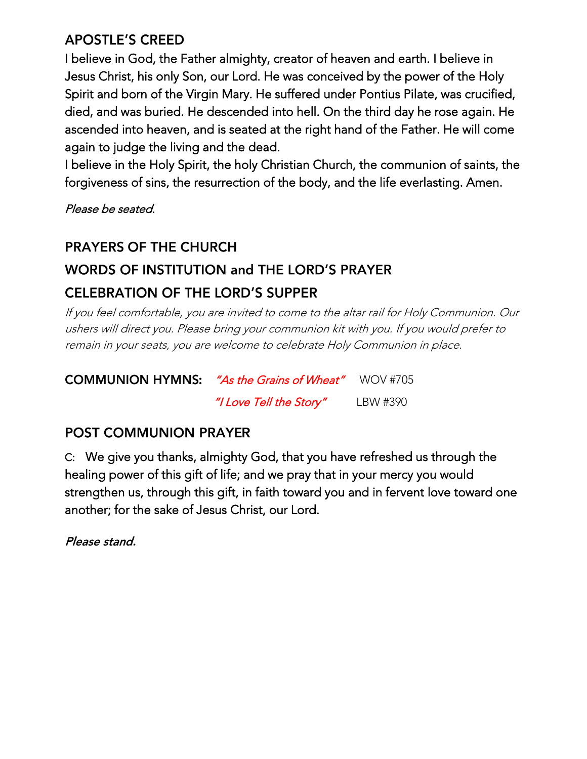# **APOSTLE'S CREED**

I believe in God, the Father almighty, creator of heaven and earth. I believe in<br>Jesus Christ, his only Son, our Lord. He was conceived by the power of the Holy Spirit and born of the Virgin Mary. He suffered under Pontius Pilate, was crucified, died, and was buried. He descended into hell. On the third day he rose again. He ascended into heaven, and is seated at the right hand of the Father. He will come again to judge the living and the dead.

I believe in the Holy Spirit, the holy Christian Church, the communion of saints, the I believe in the Holy Spirit, the holy Christian Church, the communion of saints, the forgiveness of sins, the resurrection of the body, and the life everlasting. Amen.

Please be seated.

# **PRAYERS OF THE CHURCH WORDS OF INSTITUTION and THE LORD'S PRAYER CELEBRATION OF THE LORD'S SUPPER**

If you feel comfortable, you are invited to come to the altar rail for Holy Communion. Our ushers will direct you. Please bring your communion kit with you. If you would prefer to remain in your seats, you are welcome to celebrate Holy Communion in place.

# **COMMUNION HYMNS:** "As the Grains of Wheat" WOV #705

"I Love Tell the Story" LBW #390

# **POST COMMUNION PRAYER**

C: We give you thanks, almighty God, that you have refreshed us through the healing power of this gift of life; and we pray that in your mercy you would strengthen us, through this gift, in faith toward you and in fervent love toward one another; for the sake of Jesus Christ, our Lord. another; for the sake of Jesus Christ, our Lord.

Please stand.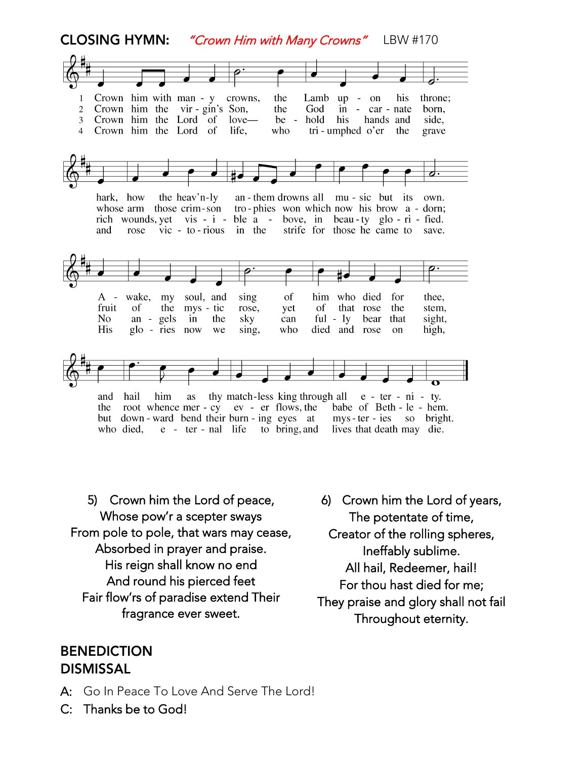**CLOSING HYMN:** "Crown Him with Many Crowns" LBW #170



5) Crown him the Lord of peace, From pole to pole, that wars may cease, Absorbed in prayer and praise. His reign shall know no end And round his pierced feet Fair flow'rs of paradise extend Their France extends their first fragrance ever sweet.

6) Crown him the Lord of years, Creator of the rolling spheres, Ineffably sublime. All hail, Redeemer, hail! For thou hast died for me: They praise and glory shall not fail Throughout eternity. Throughout eternity.

**BENEDICTION DISMISSAL** 

- A: Go In Peace To Love And Serve The Lord!<br>C: Thanks be to God!
- C: Thanks be to God!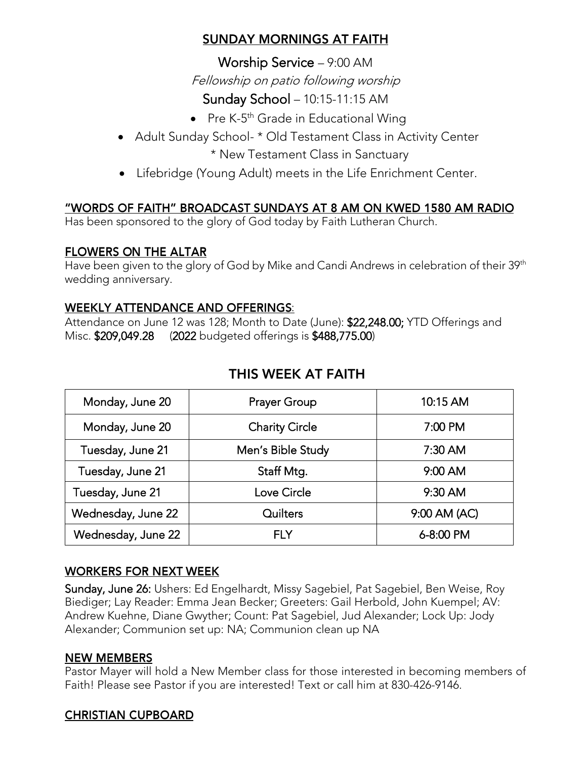# SUNDAY MORNINGS AT FAITH

worship Service – 9:00 AM Fellowship on patio following worship<br>Cundey Sebeel - 10:15,11:15,014

- Sunday School 10:15-11:15 AM<br>President 10:15-11:15 AM • Pre K-5<sup>th</sup> Grade in Educational Wing
- Adult Sunday School- \* Old Testament Class in Activity Center<br>• New Testament Class in Sanctuary

\* New Testament Class in Cancellary Lifebridge (Young Adult) meets in the Life Enrichment Center.

# "WORDS OF FAITH" BROADCAST SUNDAYS AT 8 AM ON KWED 1580 AM RADIO

Has been sponsored to the glory of God today by Faith Lutheran Church.

# **FLOWERS ON THE ALTAR**

Have been given to the glory of God by Mike and Candi Andrews in celebration of their 39<sup>th</sup> wedding anniversary.

<u>WEEKLY ATTENDANCE AND OFFERINGS:</u><br>Attendance on June 12 was 128; Month to Date (June): **\$22,248.00;** YTD Offerings and Attendance on June 12 mai 126, Month to 2016 (June): July 10:00, The Union go and<br>Misc. \$209.049.28 ... (2022 budgeted offerings is \$488.775.00)  $\frac{1}{2}$ 

| Monday, June 20    | <b>Prayer Group</b>   | 10:15 AM     |
|--------------------|-----------------------|--------------|
| Monday, June 20    | <b>Charity Circle</b> | 7:00 PM      |
| Tuesday, June 21   | Men's Bible Study     | $7:30$ AM    |
| Tuesday, June 21   | Staff Mtg.            | $9:00$ AM    |
| Tuesday, June 21   | Love Circle           | $9:30$ AM    |
| Wednesday, June 22 | Quilters              | 9:00 AM (AC) |
| Wednesday, June 22 | FLY                   | 6-8:00 PM    |

# THIS WEEK AT FAITH

# **WORKERS FOR NEXT WEEK**

Sunday, June 26: Ushers: Ed Engelhardt, Missy Sagebiel, Pat Sagebiel, Ben Weise, Roy<br>Biediger; Lay Reader: Emma Jean Becker; Greeters: Gail Herbold, John Kuempel; AV: Andrew Kuehne, Diane Gwyther; Count: Pat Sagebiel, Jud Alexander; Lock Up: Jody Alexander; Communion set up: NA; Communion clean up NA Alexander; Communion set up: NA; Communion clean up NA

# **NEW MEMBERS**

Pastor Mayer will hold a New Member class for those interested in becoming members of<br>Faith! Please see Pastor if you are interested! Text or call him at 830-426-9146. Faith! Please see Pastor if you are interested! Text or call him at 830-426-9146.

# **CHRISTIAN CUPBOARD**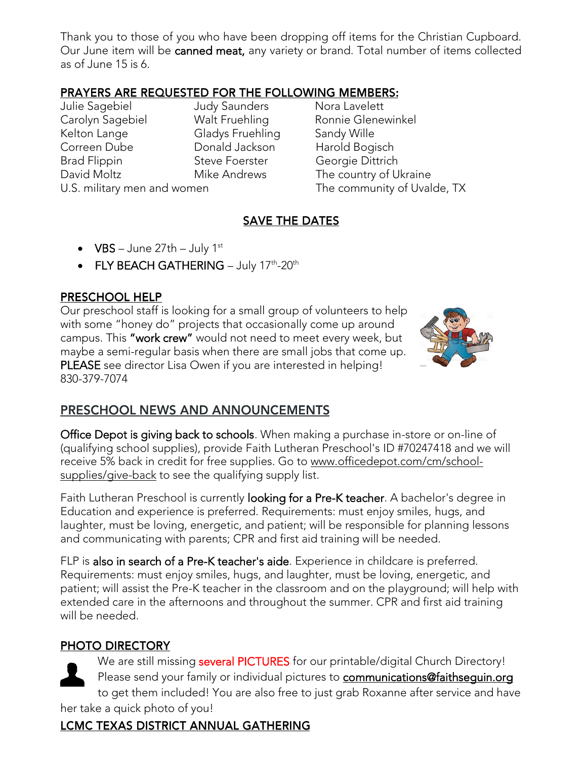Thank you're modeler you have have been dropping on herm for the Christian Cupboard.<br>Our lune item will be canned meat any variety or brand. Total number of items collected Our June item will be canned meat, any variety or brand. Total number of items collected as of June 15 is 6.

 $U$ . Military men and women  $T$ 

Kelton Lange **Canadia Cladys Fruehling** Sandy Wille Correen Dube **Conald Jackson** Harold Bogisch Brad Flippin **Corresponse Steve Foerster** Georgie Dittrich

i<br>L Julie Sagebiel Judy Saunders Nora Lavelett Nora Lavelett David Moltz **Example 20 Mike Andrews** The country of Ukraine U.S. military men and women The community of Uvalde, TX

# **SAVE THE DATES**

- $\bullet$  VBS June 27th July 1st
- FLY BEACH GATHERING July 17<sup>th</sup>-20<sup>th</sup>

## **PRESCHOOL HELP**

Our preschool staff is looking for a small group of volunteers to help with some "honey do" projects that occasionally come up around campus. This "work crew" would not need to meet every week, but maybe a semi-regular basis when there are small jobs that come up. PLEASE see director Lisa Owen if you are interested in helping! 830-379-7074 830-379-7074



# PRESCHOOL NEWS AND ANNOUNCEMENTS

Conservation approves the conservation in the making a purchase in-store or on-line or on-<br>(qualifying school supplies), provide Faith Lutheran Preschool's ID #70247418 and we will<br>receive 5% back in credit for free suppli receive 5 back to see the qualifying supply list supplies to see the qualifying supply list.

Faith Lutheran Preschool is currently **looking for a Pre-K teacher**. A bachelor's degree in<br>Education and experience is preferred. Requirements: must enjoy smiles, hugs, and laughter, must be loving, energetic, and patient; will be responsible for planning lessons and communicating with parents; CPR and first aid training will be needed. and communicating with parents; CPR and first aid training will be needed.

FLP is also in search of a Pre-K teacher's aide. Experience in childcare is preferred.<br>Requirements: must enjoy smiles, hugs, and laughter, must be loving, energetic, and patient; will assist the Pre-K teacher in the classroom and on the playground; will help with extended care in the afternoons and throughout the summer. CPR and first aid training will be needed. will be needed.

# PHOTO DIRECTORY

We are still missing several PICTURES for our printable/digital Church Directory!<br>Please send your family or individual pictures to **communications@faithsequin.org** 

to get them included! You are also free to just grab Roxanne after service and have her take a quick photo of you!

# LCMC TEXAS DISTRICT ANNUAL GATHERING